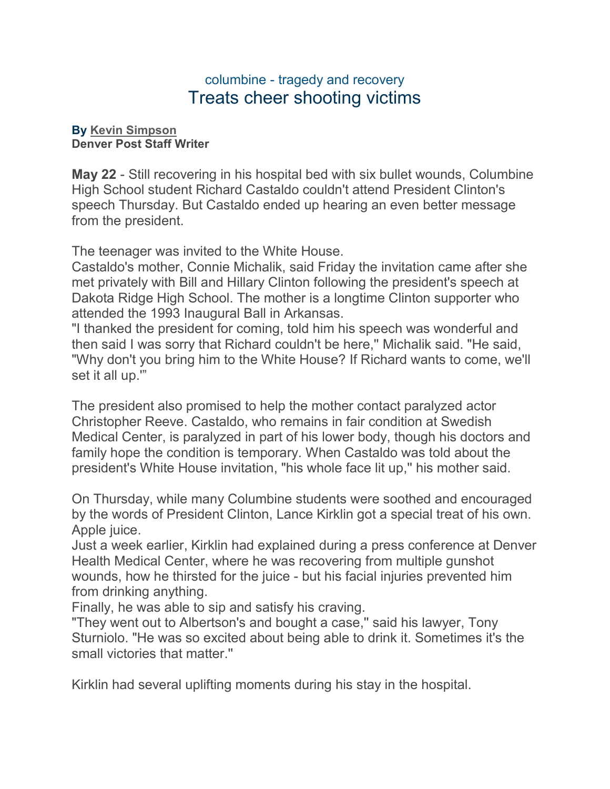## columbine - tragedy and recovery Treats cheer shooting victims

## **By [Kevin Simpson](mailto:newsroom@denverpost.com) Denver Post Staff Writer**

**May 22** - Still recovering in his hospital bed with six bullet wounds, Columbine High School student Richard Castaldo couldn't attend President Clinton's speech Thursday. But Castaldo ended up hearing an even better message from the president.

The teenager was invited to the White House.

Castaldo's mother, Connie Michalik, said Friday the invitation came after she met privately with Bill and Hillary Clinton following the president's speech at Dakota Ridge High School. The mother is a longtime Clinton supporter who attended the 1993 Inaugural Ball in Arkansas.

"I thanked the president for coming, told him his speech was wonderful and then said I was sorry that Richard couldn't be here,'' Michalik said. "He said, "Why don't you bring him to the White House? If Richard wants to come, we'll set it all up.'"

The president also promised to help the mother contact paralyzed actor Christopher Reeve. Castaldo, who remains in fair condition at Swedish Medical Center, is paralyzed in part of his lower body, though his doctors and family hope the condition is temporary. When Castaldo was told about the president's White House invitation, "his whole face lit up,'' his mother said.

On Thursday, while many Columbine students were soothed and encouraged by the words of President Clinton, Lance Kirklin got a special treat of his own. Apple juice.

Just a week earlier, Kirklin had explained during a press conference at Denver Health Medical Center, where he was recovering from multiple gunshot wounds, how he thirsted for the juice - but his facial injuries prevented him from drinking anything.

Finally, he was able to sip and satisfy his craving.

"They went out to Albertson's and bought a case,'' said his lawyer, Tony Sturniolo. "He was so excited about being able to drink it. Sometimes it's the small victories that matter.''

Kirklin had several uplifting moments during his stay in the hospital.